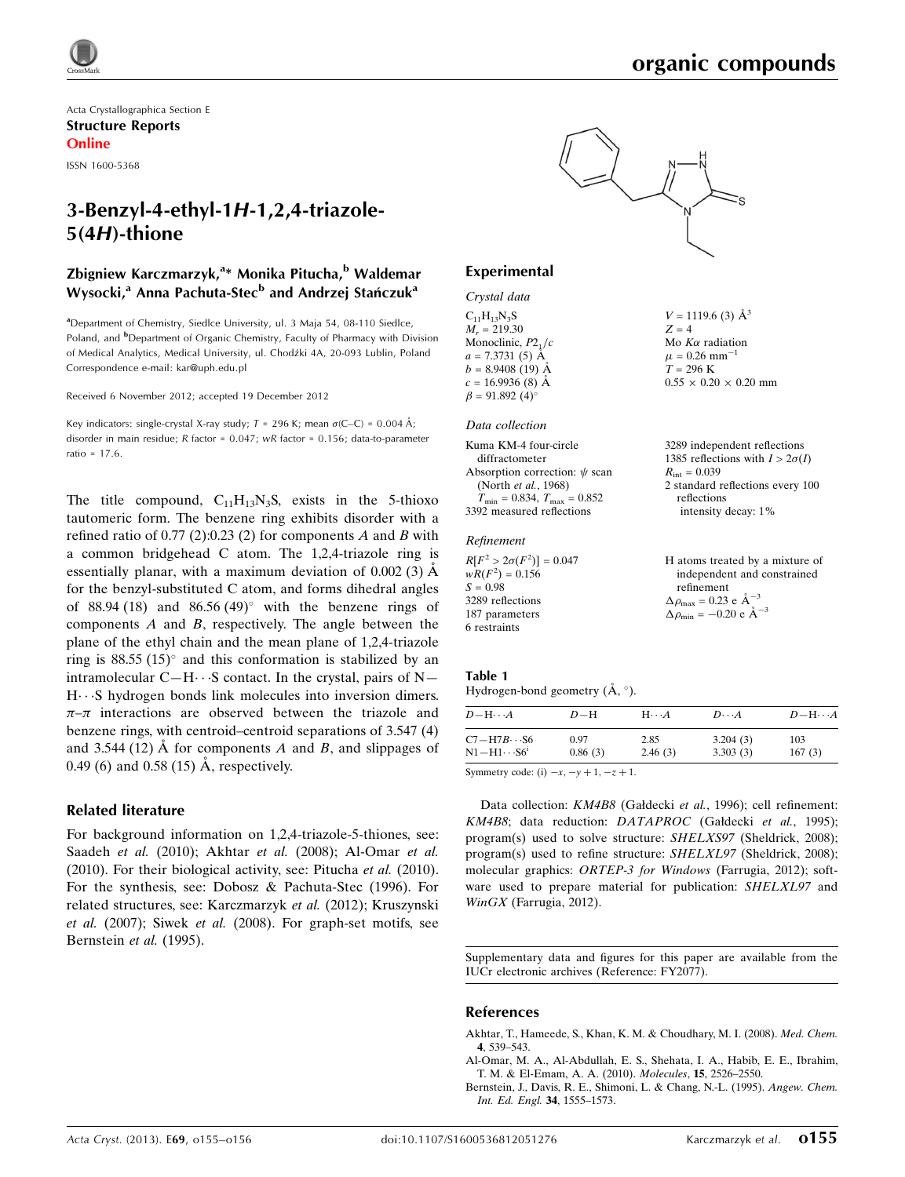$V = 1119.6$  (3)  $\AA^3$ 

Mo  $K\alpha$  radiation  $\mu$  = 0.26 mm<sup>-1</sup>  $T = 296$  K

 $R_{\text{int}} = 0.039$ 

reflections

 $0.55 \times 0.20 \times 0.20$  mm

3289 independent reflections 1385 reflections with  $I > 2\sigma(I)$ 

2 standard reflections every 100

intensity decay: 1%

 $Z = 4$ 

Acta Crystallographica Section E Structure Reports Online

ISSN 1600-5368

# 3-Benzyl-4-ethyl-1H-1,2,4-triazole-5(4H)-thione

# Zbigniew Karczmarzyk,<sup>a</sup>\* Monika Pitucha,<sup>b</sup> Waldemar Wysocki,<sup>a</sup> Anna Pachuta-Stec<sup>b</sup> and Andrzej Stańczuk<sup>a</sup>

<sup>a</sup>Department of Chemistry, Siedlce University, ul. 3 Maja 54, 08-110 Siedlce, Poland, and <sup>b</sup>Department of Organic Chemistry, Faculty of Pharmacy with Division of Medical Analytics, Medical University, ul. Chodźki 4A, 20-093 Lublin, Poland Correspondence e-mail: [kar@uph.edu.pl](https://scripts.iucr.org/cgi-bin/cr.cgi?rm=pdfbb&cnor=fy2077&bbid=BB14)

Received 6 November 2012; accepted 19 December 2012

Key indicators: single-crystal X-ray study;  $T = 296$  K; mean  $\sigma$ (C–C) = 0.004 Å; disorder in main residue; R factor = 0.047; wR factor = 0.156; data-to-parameter ratio = 17.6.

The title compound,  $C_{11}H_{13}N_3S$ , exists in the 5-thioxo tautomeric form. The benzene ring exhibits disorder with a refined ratio of 0.77 (2):0.23 (2) for components A and B with a common bridgehead C atom. The 1,2,4-triazole ring is essentially planar, with a maximum deviation of  $0.002(3)$   $\AA$ for the benzyl-substituted C atom, and forms dihedral angles of 88.94 (18) and 86.56 (49) $^{\circ}$  with the benzene rings of components  $A$  and  $B$ , respectively. The angle between the plane of the ethyl chain and the mean plane of 1,2,4-triazole ring is  $88.55$  (15) $^{\circ}$  and this conformation is stabilized by an intramolecular  $C-H \cdots S$  contact. In the crystal, pairs of N—  $H \cdots S$  hydrogen bonds link molecules into inversion dimers.  $\pi-\pi$  interactions are observed between the triazole and benzene rings, with centroid–centroid separations of 3.547 (4) and 3.544 (12)  $\AA$  for components A and B, and slippages of 0.49 (6) and 0.58 (15)  $\AA$ , respectively.

### Related literature

For background information on 1,2,4-triazole-5-thiones, see: Saadeh et al. (2010); Akhtar et al. (2008); Al-Omar et al. (2010). For their biological activity, see: Pitucha et al. (2010). For the synthesis, see: Dobosz & Pachuta-Stec (1996). For related structures, see: Karczmarzyk et al. (2012); Kruszynski et al. (2007); Siwek et al. (2008). For graph-set motifs, see Bernstein et al. (1995).



### Experimental

### Crystal data

 $C_{11}H_{13}N_3S$  $M_r = 219.30$ Monoclinic,  $P2<sub>1</sub>/c$  $a = 7.3731(5)$  Å  $b = 8.9408(19)$  Å  $c = 16.9936(8)$  Å  $\beta = 91.892 \ (4)$ °

#### Data collection

| Kuma KM-4 four-circle                            |
|--------------------------------------------------|
| diffractometer                                   |
| Absorption correction: $\psi$ scan               |
| (North et al., 1968)                             |
| $T_{\text{min}} = 0.834, T_{\text{max}} = 0.852$ |
| 3392 measured reflections                        |

### Refinement

| $R[F^2 > 2\sigma(F^2)] = 0.047$ | H atoms treated by a mixture of                  |
|---------------------------------|--------------------------------------------------|
| $wR(F^2) = 0.156$               | independent and constrained                      |
| $S = 0.98$                      | refinement                                       |
| 3289 reflections                | $\Delta \rho_{\text{max}} = 0.23$ e $\AA^{-3}$   |
| 187 parameters                  | $\Delta \rho_{\rm min} = -0.20 \text{ e A}^{-3}$ |
| 6 restraints                    |                                                  |

### Table 1

Hydrogen-bond geometry  $(\AA, \degree)$ .

| $D - H \cdots A$               | $D-H$   | $H\cdots A$ | $D\cdots A$ | $D - H \cdots A$ |
|--------------------------------|---------|-------------|-------------|------------------|
| $C7 - H7B \cdots S6$           | 0.97    | 2.85        | 3.204(3)    | 103              |
| $\rm N1\!-\!H1\!\cdots\! S6^1$ | 0.86(3) | 2.46(3)     | 3.303(3)    | 167(3)           |

Symmetry code: (i)  $-x$ ,  $-y + 1$ ,  $-z + 1$ .

Data collection: KM4B8 (Gałdecki et al., 1996); cell refinement: KM4B8; data reduction: DATAPROC (Gałdecki et al., 1995); program(s) used to solve structure: SHELXS97 (Sheldrick, 2008); program(s) used to refine structure: SHELXL97 (Sheldrick, 2008); molecular graphics: ORTEP-3 for Windows (Farrugia, 2012); software used to prepare material for publication: SHELXL97 and WinGX (Farrugia, 2012).

Supplementary data and figures for this paper are available from the IUCr electronic archives (Reference: FY2077).

### References

[Akhtar, T., Hameede, S., Khan, K. M. & Choudhary, M. I. \(2008\).](https://scripts.iucr.org/cgi-bin/cr.cgi?rm=pdfbb&cnor=fy2077&bbid=BB1) Med. Chem. 4[, 539–543.](https://scripts.iucr.org/cgi-bin/cr.cgi?rm=pdfbb&cnor=fy2077&bbid=BB1)

[Al-Omar, M. A., Al-Abdullah, E. S., Shehata, I. A., Habib, E. E., Ibrahim,](https://scripts.iucr.org/cgi-bin/cr.cgi?rm=pdfbb&cnor=fy2077&bbid=BB2) [T. M. & El-Emam, A. A. \(2010\).](https://scripts.iucr.org/cgi-bin/cr.cgi?rm=pdfbb&cnor=fy2077&bbid=BB2) Molecules, 15, 2526–2550.

[Bernstein, J., Davis, R. E., Shimoni, L. & Chang, N.-L. \(1995\).](https://scripts.iucr.org/cgi-bin/cr.cgi?rm=pdfbb&cnor=fy2077&bbid=BB3) Angew. Chem. [Int. Ed. Engl.](https://scripts.iucr.org/cgi-bin/cr.cgi?rm=pdfbb&cnor=fy2077&bbid=BB3) 34, 1555–1573.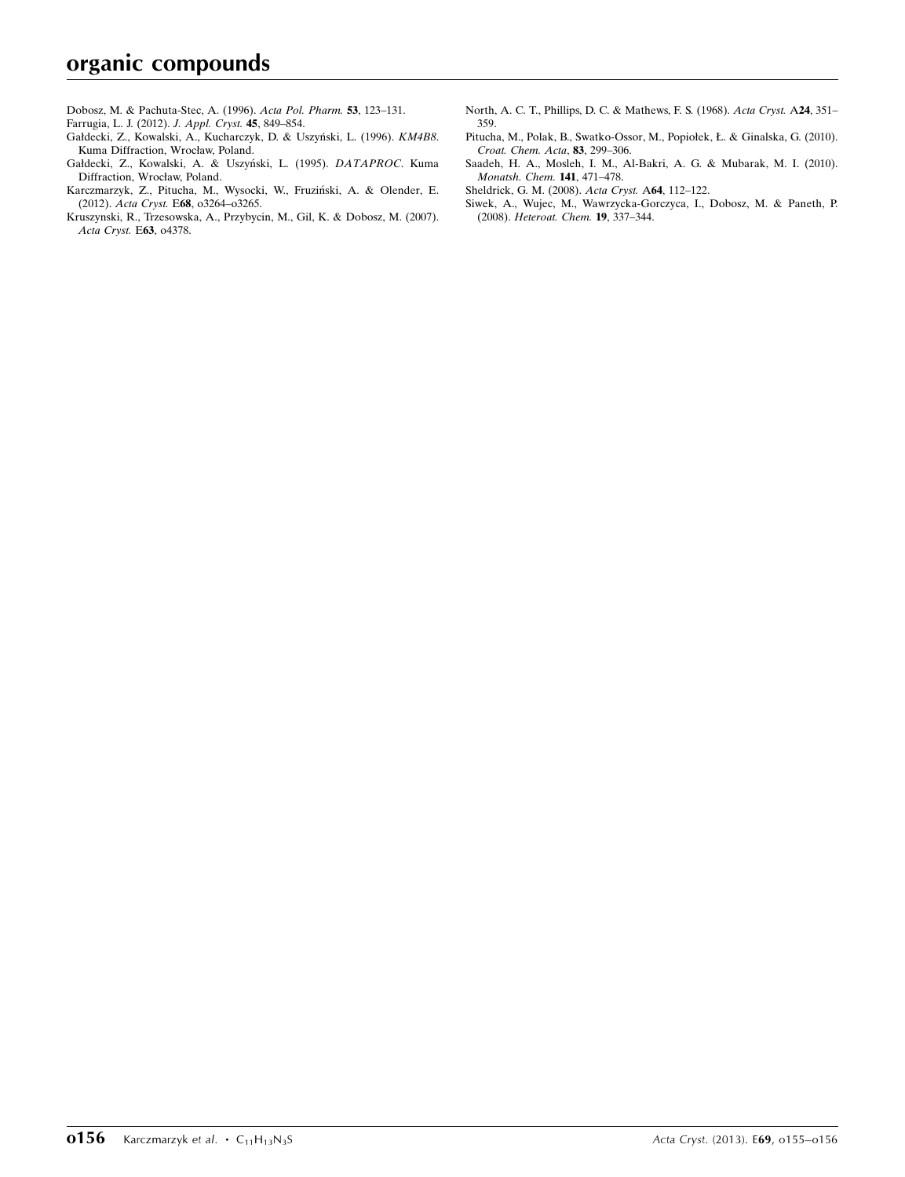- [Dobosz, M. & Pachuta-Stec, A. \(1996\).](https://scripts.iucr.org/cgi-bin/cr.cgi?rm=pdfbb&cnor=fy2077&bbid=BB4) Acta Pol. Pharm. 53, 123–131.
- [Farrugia, L. J. \(2012\).](https://scripts.iucr.org/cgi-bin/cr.cgi?rm=pdfbb&cnor=fy2077&bbid=BB5) J. Appl. Cryst. 45, 849–854.
- Gałdecki, Z., Kowalski, A., Kucharczyk, D. & Uszyński, L. (1996). KM4B8. [Kuma Diffraction, Wrocław, Poland.](https://scripts.iucr.org/cgi-bin/cr.cgi?rm=pdfbb&cnor=fy2077&bbid=BB6)
- Gałdecki, Z., Kowalski, A. & Uszyński, L. (1995). DATAPROC. Kuma [Diffraction, Wrocław, Poland.](https://scripts.iucr.org/cgi-bin/cr.cgi?rm=pdfbb&cnor=fy2077&bbid=BB7)
- Karczmarzyk, Z., Pitucha, M., Wysocki, W., Fruziński, A. & Olender, E. (2012). Acta Cryst. E68[, o3264–o3265.](https://scripts.iucr.org/cgi-bin/cr.cgi?rm=pdfbb&cnor=fy2077&bbid=BB8)
- [Kruszynski, R., Trzesowska, A., Przybycin, M., Gil, K. & Dobosz, M. \(2007\).](https://scripts.iucr.org/cgi-bin/cr.cgi?rm=pdfbb&cnor=fy2077&bbid=BB9) [Acta Cryst.](https://scripts.iucr.org/cgi-bin/cr.cgi?rm=pdfbb&cnor=fy2077&bbid=BB9) E63, o4378.
- [North, A. C. T., Phillips, D. C. & Mathews, F. S. \(1968\).](https://scripts.iucr.org/cgi-bin/cr.cgi?rm=pdfbb&cnor=fy2077&bbid=BB10) Acta Cryst. A24, 351– [359.](https://scripts.iucr.org/cgi-bin/cr.cgi?rm=pdfbb&cnor=fy2077&bbid=BB10)
- [Pitucha, M., Polak, B., Swatko-Ossor, M., Popiołek, Ł. & Ginalska, G. \(2010\).](https://scripts.iucr.org/cgi-bin/cr.cgi?rm=pdfbb&cnor=fy2077&bbid=BB11) [Croat. Chem. Acta](https://scripts.iucr.org/cgi-bin/cr.cgi?rm=pdfbb&cnor=fy2077&bbid=BB11), 83, 299–306.
- [Saadeh, H. A., Mosleh, I. M., Al-Bakri, A. G. & Mubarak, M. I. \(2010\).](https://scripts.iucr.org/cgi-bin/cr.cgi?rm=pdfbb&cnor=fy2077&bbid=BB12) [Monatsh. Chem.](https://scripts.iucr.org/cgi-bin/cr.cgi?rm=pdfbb&cnor=fy2077&bbid=BB12) 141, 471–478.
- [Sheldrick, G. M. \(2008\).](https://scripts.iucr.org/cgi-bin/cr.cgi?rm=pdfbb&cnor=fy2077&bbid=BB13) Acta Cryst. A64, 112–122.
- [Siwek, A., Wujec, M., Wawrzycka-Gorczyca, I., Dobosz, M. & Paneth, P.](https://scripts.iucr.org/cgi-bin/cr.cgi?rm=pdfbb&cnor=fy2077&bbid=BB14) (2008). [Heteroat. Chem.](https://scripts.iucr.org/cgi-bin/cr.cgi?rm=pdfbb&cnor=fy2077&bbid=BB14) 19, 337–344.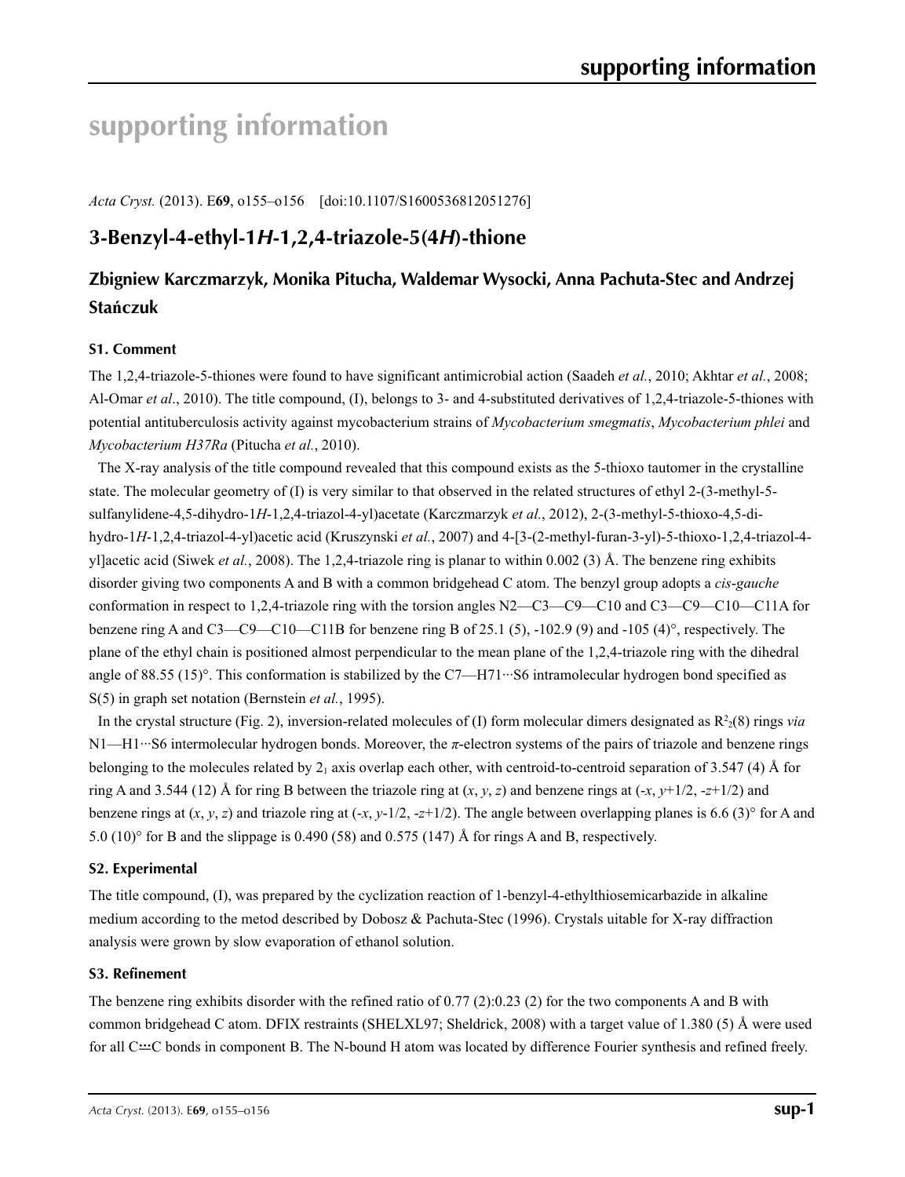# **supporting information**

*Acta Cryst.* (2013). E**69**, o155–o156 [doi:10.1107/S1600536812051276]

# **3-Benzyl-4-ethyl-1***H***-1,2,4-triazole-5(4***H***)-thione**

# **Zbigniew Karczmarzyk, Monika Pitucha, Waldemar Wysocki, Anna Pachuta-Stec and Andrzej Stańczuk**

# **S1. Comment**

The 1,2,4-triazole-5-thiones were found to have significant antimicrobial action (Saadeh *et al.*, 2010; Akhtar *et al.*, 2008; Al-Omar *et al*., 2010). The title compound, (I), belongs to 3- and 4-substituted derivatives of 1,2,4-triazole-5-thiones with potential antituberculosis activity against mycobacterium strains of *Mycobacterium smegmatis*, *Mycobacterium phlei* and *Mycobacterium H37Ra* (Pitucha *et al.*, 2010).

The X-ray analysis of the title compound revealed that this compound exists as the 5-thioxo tautomer in the crystalline state. The molecular geometry of (I) is very similar to that observed in the related structures of ethyl 2-(3-methyl-5 sulfanylidene-4,5-dihydro-1*H*-1,2,4-triazol-4-yl)acetate (Karczmarzyk *et al.*, 2012), 2-(3-methyl-5-thioxo-4,5-dihydro-1*H*-1,2,4-triazol-4-yl)acetic acid (Kruszynski *et al.*, 2007) and 4-[3-(2-methyl-furan-3-yl)-5-thioxo-1,2,4-triazol-4 yl]acetic acid (Siwek *et al.*, 2008). The 1,2,4-triazole ring is planar to within 0.002 (3) Å. The benzene ring exhibits disorder giving two components A and B with a common bridgehead C atom. The benzyl group adopts a *cis*-*gauche* conformation in respect to 1,2,4-triazole ring with the torsion angles N2—C3—C9—C10 and C3—C9—C10—C11A for benzene ring A and C3—C9—C10—C11B for benzene ring B of 25.1 (5), -102.9 (9) and -105 (4)°, respectively. The plane of the ethyl chain is positioned almost perpendicular to the mean plane of the 1,2,4-triazole ring with the dihedral angle of 88.55 (15)°. This conformation is stabilized by the C7—H71···S6 intramolecular hydrogen bond specified as S(5) in graph set notation (Bernstein *et al.*, 1995).

In the crystal structure (Fig. 2), inversion-related molecules of (I) form molecular dimers designated as  $R^2(8)$  rings *via* N1—H1···S6 intermolecular hydrogen bonds. Moreover, the *π*-electron systems of the pairs of triazole and benzene rings belonging to the molecules related by  $2<sub>1</sub>$  axis overlap each other, with centroid-to-centroid separation of 3.547 (4) Å for ring A and 3.544 (12) Å for ring B between the triazole ring at  $(x, y, z)$  and benzene rings at  $(-x, y+1/2, -z+1/2)$  and benzene rings at  $(x, y, z)$  and triazole ring at  $(-x, y-1/2, -z+1/2)$ . The angle between overlapping planes is 6.6 (3)° for A and 5.0  $(10)^\circ$  for B and the slippage is 0.490 (58) and 0.575 (147) Å for rings A and B, respectively.

# **S2. Experimental**

The title compound, (I), was prepared by the cyclization reaction of 1-benzyl-4-ethylthiosemicarbazide in alkaline medium according to the metod described by Dobosz & Pachuta-Stec (1996). Crystals uitable for X-ray diffraction analysis were grown by slow evaporation of ethanol solution.

### **S3. Refinement**

The benzene ring exhibits disorder with the refined ratio of 0.77 (2):0.23 (2) for the two components A and B with common bridgehead C atom. DFIX restraints (SHELXL97; Sheldrick, 2008) with a target value of 1.380 (5) Å were used for all C<sup>-1</sup>C bonds in component B. The N-bound H atom was located by difference Fourier synthesis and refined freely.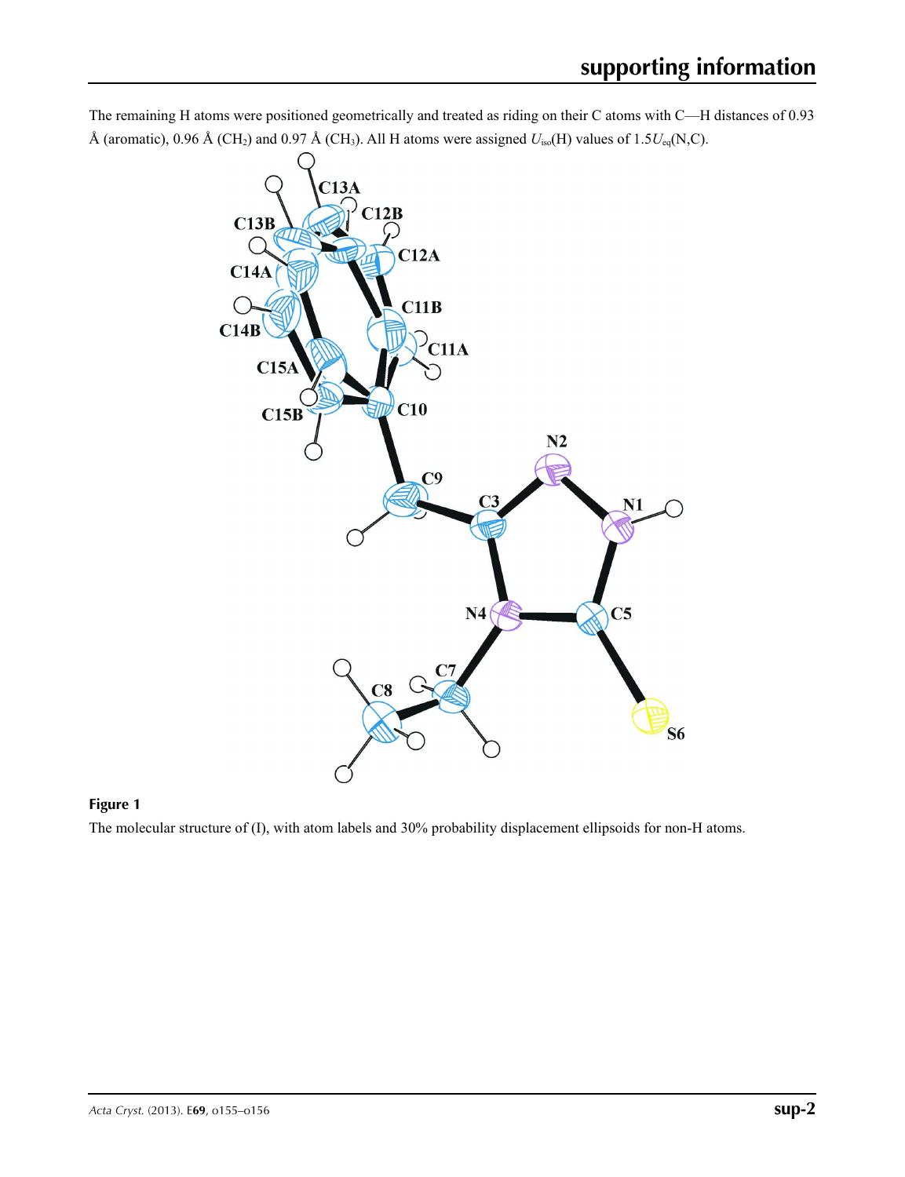



# **Figure 1**

The molecular structure of (I), with atom labels and 30% probability displacement ellipsoids for non-H atoms.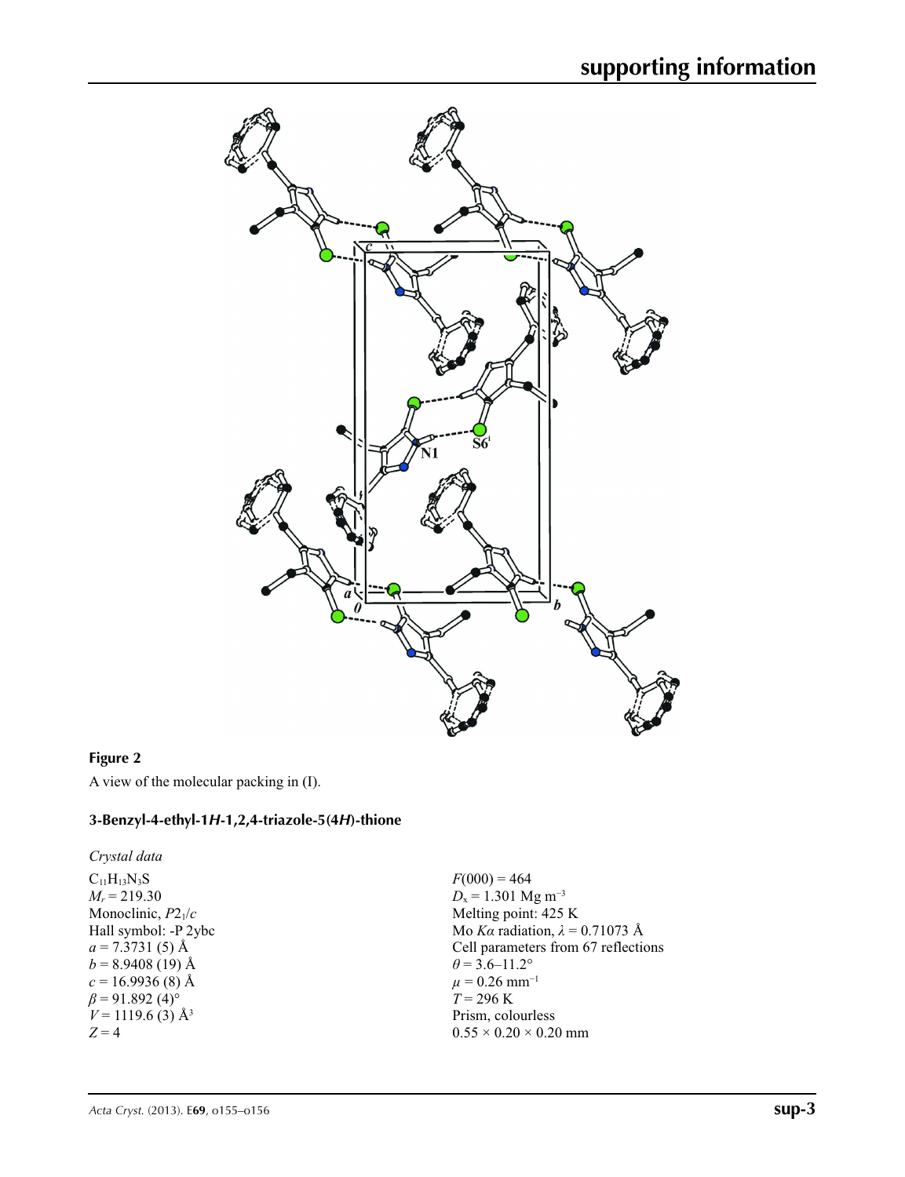

# **Figure 2**

A view of the molecular packing in (I).

## **3-Benzyl-4-ethyl-1***H***-1,2,4-triazole-5(4***H***)-thione**

*Crystal data*

 $\rm C_{11}H_{13}N_3S$  $M_r = 219.30$ Monoclinic, *P*21/*c* Hall symbol: -P 2ybc  $a = 7.3731(5)$  Å  $b = 8.9408(19)$  Å  $c = 16.9936(8)$  Å  $\beta$  = 91.892 (4)<sup>o</sup>  $V = 1119.6$  (3) Å<sup>3</sup>  $Z = 4$ 

 $F(000) = 464$  $D_x = 1.301$  Mg m<sup>-3</sup> Melting point: 425 K Mo *Kα* radiation, *λ* = 0.71073 Å Cell parameters from 67 reflections  $\theta$  = 3.6–11.2°  $\mu = 0.26$  mm<sup>-1</sup>  $T = 296 \text{ K}$ Prism, colourless  $0.55 \times 0.20 \times 0.20$  mm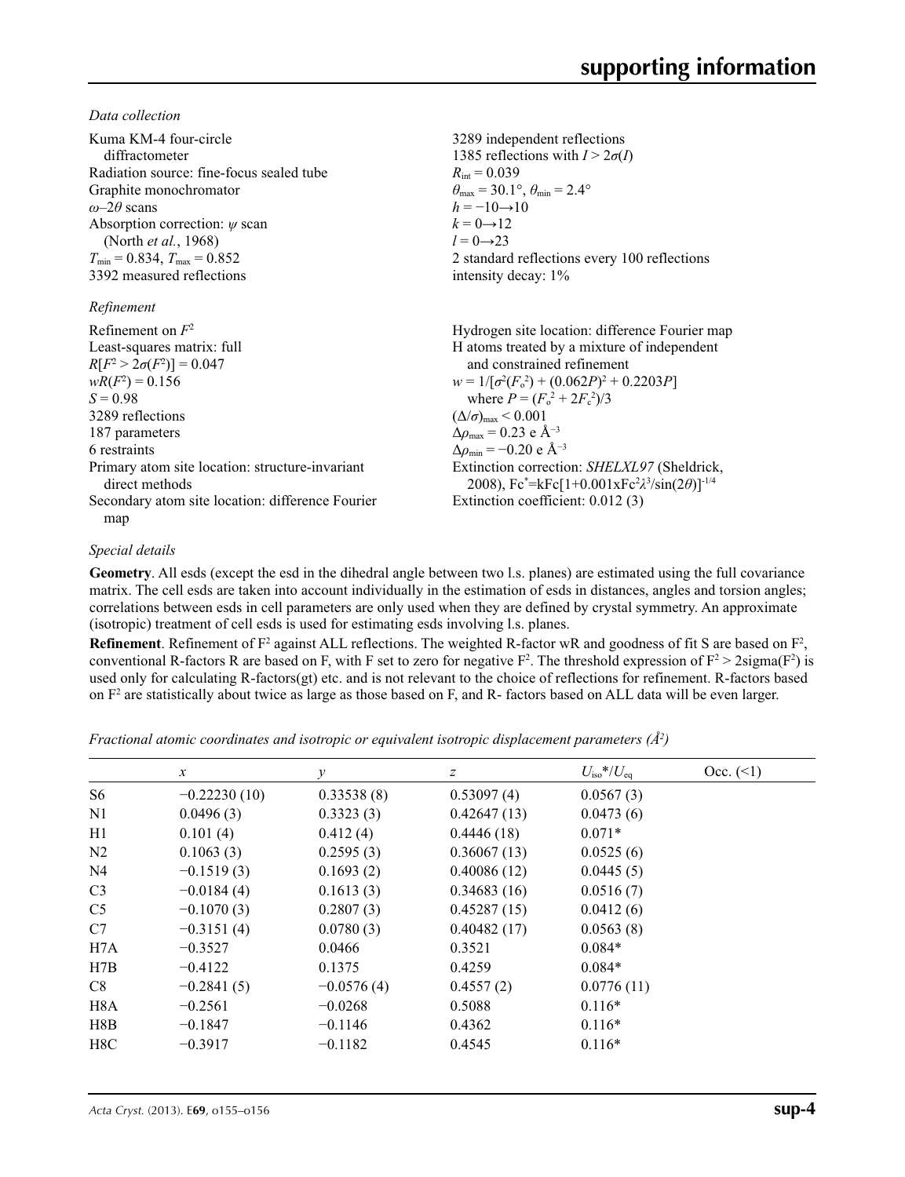*Data collection*

| Kuma KM-4 four-circle                            | 3289 independent reflections                          |  |  |
|--------------------------------------------------|-------------------------------------------------------|--|--|
| diffractometer                                   | 1385 reflections with $I > 2\sigma(I)$                |  |  |
| Radiation source: fine-focus sealed tube         | $R_{\rm int} = 0.039$                                 |  |  |
| Graphite monochromator                           | $\theta_{\rm max}$ = 30.1°, $\theta_{\rm min}$ = 2.4° |  |  |
| $\omega$ -2 $\theta$ scans                       | $h = -10 \rightarrow 10$                              |  |  |
| Absorption correction: $\psi$ scan               | $k = 0 \rightarrow 12$                                |  |  |
| (North et al., 1968)                             | $l = 0 \rightarrow 23$                                |  |  |
| $T_{\text{min}} = 0.834, T_{\text{max}} = 0.852$ | 2 standard reflections every 100 reflections          |  |  |
| 3392 measured reflections                        | intensity decay: 1%                                   |  |  |
| Refinement                                       |                                                       |  |  |
| Refinement on $F^2$                              | Hydrogen site location: difference Fourier map        |  |  |
| Least-squares matrix: full                       | H atoms treated by a mixture of independent           |  |  |
| $R[F^2 > 2\sigma(F^2)] = 0.047$                  | and constrained refinement                            |  |  |

 $wR(F^2) = 0.156$  $S = 0.98$ 3289 reflections 187 parameters 6 restraints Primary atom site location: structure-invariant direct methods Secondary atom site location: difference Fourier

map

### *Special details*

**Geometry**. All esds (except the esd in the dihedral angle between two l.s. planes) are estimated using the full covariance matrix. The cell esds are taken into account individually in the estimation of esds in distances, angles and torsion angles; correlations between esds in cell parameters are only used when they are defined by crystal symmetry. An approximate (isotropic) treatment of cell esds is used for estimating esds involving l.s. planes.

 $w = 1/[\sigma^2 (F_o^2) + (0.062P)^2 + 0.2203P]$ 

Extinction correction: *SHELXL97* (Sheldrick, 2008), Fc\* =kFc[1+0.001xFc2 *λ*3 /sin(2*θ*)]-1/4

where  $P = (F_o^2 + 2F_c^2)/3$ 

Extinction coefficient: 0.012 (3)

 $(\Delta/\sigma)_{\text{max}}$  < 0.001 Δ*ρ*max = 0.23 e Å−3  $\Delta\rho_{\text{min}} = -0.20$  e Å<sup>-3</sup>

**Refinement**. Refinement of  $F^2$  against ALL reflections. The weighted R-factor wR and goodness of fit S are based on  $F^2$ , conventional R-factors R are based on F, with F set to zero for negative  $F^2$ . The threshold expression of  $F^2 > 2 \text{sigma}(F^2)$  is used only for calculating R-factors(gt) etc. and is not relevant to the choice of reflections for refinement. R-factors based on  $F<sup>2</sup>$  are statistically about twice as large as those based on F, and R- factors based on ALL data will be even larger.

*Fractional atomic coordinates and isotropic or equivalent isotropic displacement parameters (Å<sup>2</sup>)* 

|                  | $\mathcal{X}$  | v            | Ζ           | $U_{\rm iso}*/U_{\rm eq}$ | Occ. (2) |
|------------------|----------------|--------------|-------------|---------------------------|----------|
| S6               | $-0.22230(10)$ | 0.33538(8)   | 0.53097(4)  | 0.0567(3)                 |          |
| N <sub>1</sub>   | 0.0496(3)      | 0.3323(3)    | 0.42647(13) | 0.0473(6)                 |          |
| H1               | 0.101(4)       | 0.412(4)     | 0.4446(18)  | $0.071*$                  |          |
| N <sub>2</sub>   | 0.1063(3)      | 0.2595(3)    | 0.36067(13) | 0.0525(6)                 |          |
| N <sub>4</sub>   | $-0.1519(3)$   | 0.1693(2)    | 0.40086(12) | 0.0445(5)                 |          |
| C <sub>3</sub>   | $-0.0184(4)$   | 0.1613(3)    | 0.34683(16) | 0.0516(7)                 |          |
| C <sub>5</sub>   | $-0.1070(3)$   | 0.2807(3)    | 0.45287(15) | 0.0412(6)                 |          |
| C7               | $-0.3151(4)$   | 0.0780(3)    | 0.40482(17) | 0.0563(8)                 |          |
| H7A              | $-0.3527$      | 0.0466       | 0.3521      | $0.084*$                  |          |
| H7B              | $-0.4122$      | 0.1375       | 0.4259      | $0.084*$                  |          |
| C8               | $-0.2841(5)$   | $-0.0576(4)$ | 0.4557(2)   | 0.0776(11)                |          |
| H <sub>8</sub> A | $-0.2561$      | $-0.0268$    | 0.5088      | $0.116*$                  |          |
| H8B              | $-0.1847$      | $-0.1146$    | 0.4362      | $0.116*$                  |          |
| H8C              | $-0.3917$      | $-0.1182$    | 0.4545      | $0.116*$                  |          |
|                  |                |              |             |                           |          |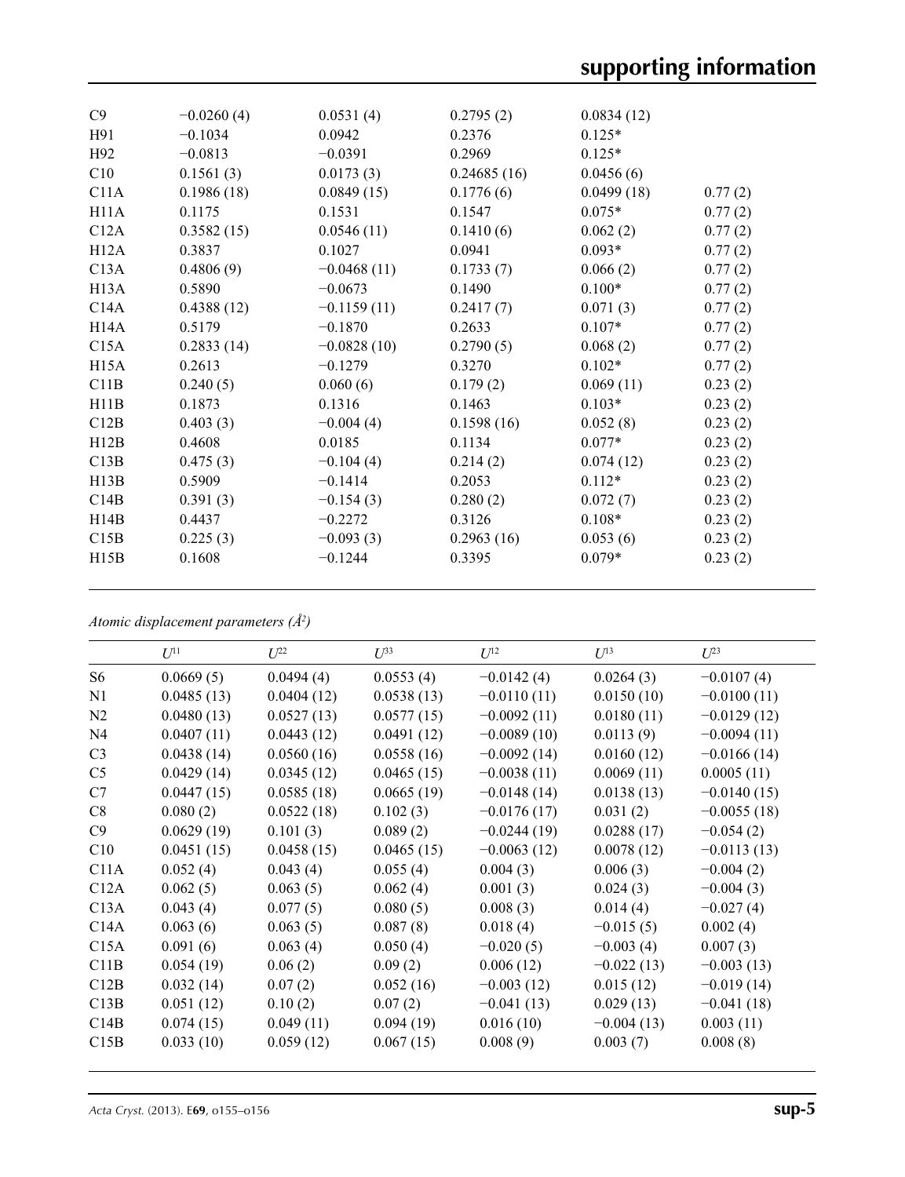| C9                | $-0.0260(4)$ | 0.0531(4)     | 0.2795(2)   | 0.0834(12) |         |
|-------------------|--------------|---------------|-------------|------------|---------|
| H91               | $-0.1034$    | 0.0942        | 0.2376      | $0.125*$   |         |
| H92               | $-0.0813$    | $-0.0391$     | 0.2969      | $0.125*$   |         |
| C10               | 0.1561(3)    | 0.0173(3)     | 0.24685(16) | 0.0456(6)  |         |
| C11A              | 0.1986(18)   | 0.0849(15)    | 0.1776(6)   | 0.0499(18) | 0.77(2) |
| H11A              | 0.1175       | 0.1531        | 0.1547      | $0.075*$   | 0.77(2) |
| C12A              | 0.3582(15)   | 0.0546(11)    | 0.1410(6)   | 0.062(2)   | 0.77(2) |
| H12A              | 0.3837       | 0.1027        | 0.0941      | $0.093*$   | 0.77(2) |
| C13A              | 0.4806(9)    | $-0.0468(11)$ | 0.1733(7)   | 0.066(2)   | 0.77(2) |
| H <sub>13</sub> A | 0.5890       | $-0.0673$     | 0.1490      | $0.100*$   | 0.77(2) |
| C14A              | 0.4388(12)   | $-0.1159(11)$ | 0.2417(7)   | 0.071(3)   | 0.77(2) |
| H14A              | 0.5179       | $-0.1870$     | 0.2633      | $0.107*$   | 0.77(2) |
| C15A              | 0.2833(14)   | $-0.0828(10)$ | 0.2790(5)   | 0.068(2)   | 0.77(2) |
| H <sub>15</sub> A | 0.2613       | $-0.1279$     | 0.3270      | $0.102*$   | 0.77(2) |
| C11B              | 0.240(5)     | 0.060(6)      | 0.179(2)    | 0.069(11)  | 0.23(2) |
| H11B              | 0.1873       | 0.1316        | 0.1463      | $0.103*$   | 0.23(2) |
| C12B              | 0.403(3)     | $-0.004(4)$   | 0.1598(16)  | 0.052(8)   | 0.23(2) |
| H12B              | 0.4608       | 0.0185        | 0.1134      | $0.077*$   | 0.23(2) |
| C13B              | 0.475(3)     | $-0.104(4)$   | 0.214(2)    | 0.074(12)  | 0.23(2) |
| H13B              | 0.5909       | $-0.1414$     | 0.2053      | $0.112*$   | 0.23(2) |
| C14B              | 0.391(3)     | $-0.154(3)$   | 0.280(2)    | 0.072(7)   | 0.23(2) |
| H14B              | 0.4437       | $-0.2272$     | 0.3126      | $0.108*$   | 0.23(2) |
| C15B              | 0.225(3)     | $-0.093(3)$   | 0.2963(16)  | 0.053(6)   | 0.23(2) |
| H15B              | 0.1608       | $-0.1244$     | 0.3395      | $0.079*$   | 0.23(2) |
|                   |              |               |             |            |         |

*Atomic displacement parameters (Å2 )*

|                | $U^{11}$   | $U^{22}$   | $U^{33}$   | $U^{12}$      | $U^{13}$     | $U^{23}$      |
|----------------|------------|------------|------------|---------------|--------------|---------------|
| S <sub>6</sub> | 0.0669(5)  | 0.0494(4)  | 0.0553(4)  | $-0.0142(4)$  | 0.0264(3)    | $-0.0107(4)$  |
| N1             | 0.0485(13) | 0.0404(12) | 0.0538(13) | $-0.0110(11)$ | 0.0150(10)   | $-0.0100(11)$ |
| N2             | 0.0480(13) | 0.0527(13) | 0.0577(15) | $-0.0092(11)$ | 0.0180(11)   | $-0.0129(12)$ |
| N <sub>4</sub> | 0.0407(11) | 0.0443(12) | 0.0491(12) | $-0.0089(10)$ | 0.0113(9)    | $-0.0094(11)$ |
| C <sub>3</sub> | 0.0438(14) | 0.0560(16) | 0.0558(16) | $-0.0092(14)$ | 0.0160(12)   | $-0.0166(14)$ |
| C <sub>5</sub> | 0.0429(14) | 0.0345(12) | 0.0465(15) | $-0.0038(11)$ | 0.0069(11)   | 0.0005(11)    |
| C7             | 0.0447(15) | 0.0585(18) | 0.0665(19) | $-0.0148(14)$ | 0.0138(13)   | $-0.0140(15)$ |
| C8             | 0.080(2)   | 0.0522(18) | 0.102(3)   | $-0.0176(17)$ | 0.031(2)     | $-0.0055(18)$ |
| C9             | 0.0629(19) | 0.101(3)   | 0.089(2)   | $-0.0244(19)$ | 0.0288(17)   | $-0.054(2)$   |
| C10            | 0.0451(15) | 0.0458(15) | 0.0465(15) | $-0.0063(12)$ | 0.0078(12)   | $-0.0113(13)$ |
| C11A           | 0.052(4)   | 0.043(4)   | 0.055(4)   | 0.004(3)      | 0.006(3)     | $-0.004(2)$   |
| C12A           | 0.062(5)   | 0.063(5)   | 0.062(4)   | 0.001(3)      | 0.024(3)     | $-0.004(3)$   |
| C13A           | 0.043(4)   | 0.077(5)   | 0.080(5)   | 0.008(3)      | 0.014(4)     | $-0.027(4)$   |
| C14A           | 0.063(6)   | 0.063(5)   | 0.087(8)   | 0.018(4)      | $-0.015(5)$  | 0.002(4)      |
| C15A           | 0.091(6)   | 0.063(4)   | 0.050(4)   | $-0.020(5)$   | $-0.003(4)$  | 0.007(3)      |
| C11B           | 0.054(19)  | 0.06(2)    | 0.09(2)    | 0.006(12)     | $-0.022(13)$ | $-0.003(13)$  |
| C12B           | 0.032(14)  | 0.07(2)    | 0.052(16)  | $-0.003(12)$  | 0.015(12)    | $-0.019(14)$  |
| C13B           | 0.051(12)  | 0.10(2)    | 0.07(2)    | $-0.041(13)$  | 0.029(13)    | $-0.041(18)$  |
| C14B           | 0.074(15)  | 0.049(11)  | 0.094(19)  | 0.016(10)     | $-0.004(13)$ | 0.003(11)     |
| C15B           | 0.033(10)  | 0.059(12)  | 0.067(15)  | 0.008(9)      | 0.003(7)     | 0.008(8)      |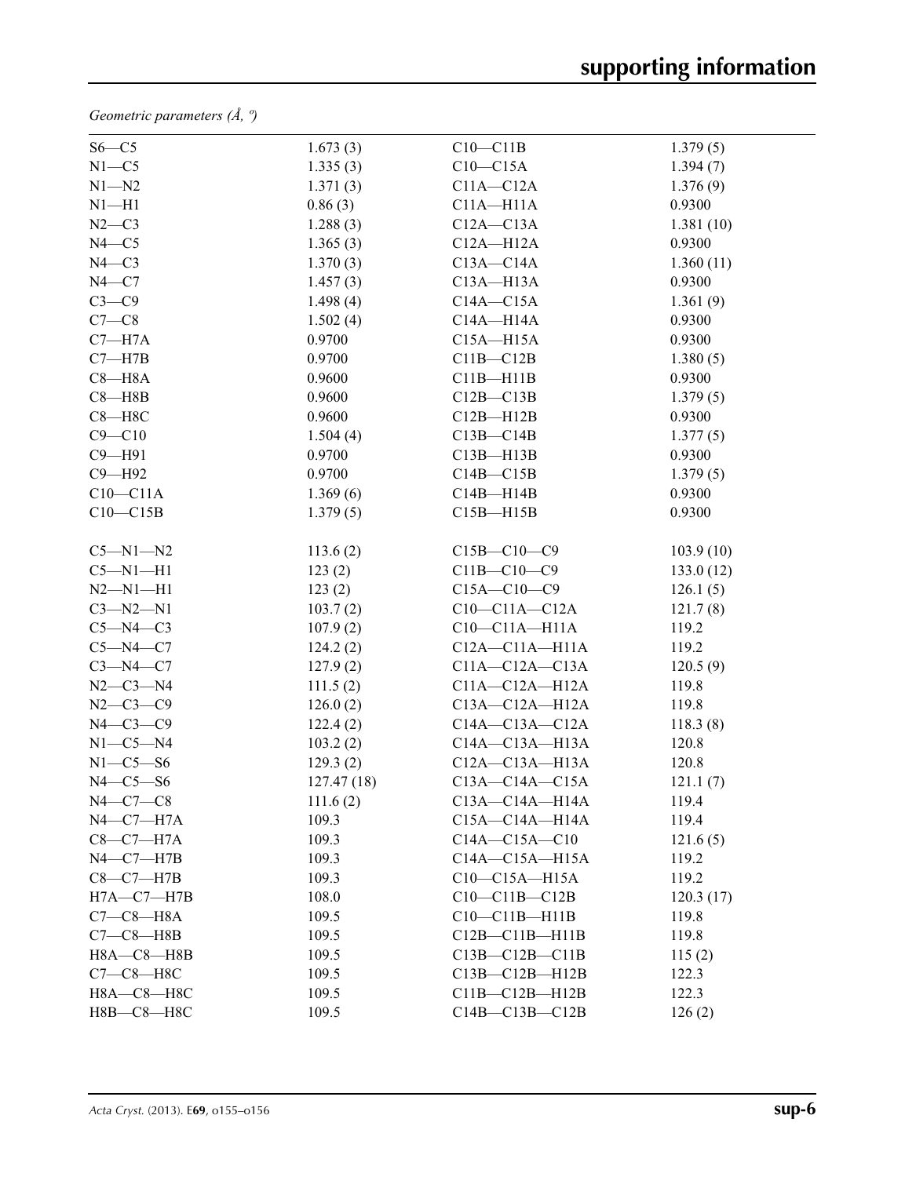*Geometric parameters (Å, º)*

| $S6-C5$          | 1.673(3)   | $C10-C11B$           | 1.379(5)  |  |
|------------------|------------|----------------------|-----------|--|
| $N1 - C5$        | 1.335(3)   | $C10-C15A$           | 1.394(7)  |  |
| $N1 - N2$        | 1.371(3)   | $C11A - C12A$        | 1.376(9)  |  |
| $N1 - H1$        | 0.86(3)    | $C11A - H11A$        | 0.9300    |  |
| $N2-C3$          | 1.288(3)   | $C12A - C13A$        | 1.381(10) |  |
| $N4 - C5$        | 1.365(3)   | $C12A - H12A$        | 0.9300    |  |
| $N4 - C3$        | 1.370(3)   | $C13A - C14A$        | 1.360(11) |  |
| $N4 - C7$        | 1.457(3)   | $C13A - H13A$        | 0.9300    |  |
| $C3-C9$          | 1.498(4)   | $C14A - C15A$        | 1.361(9)  |  |
| $C7-C8$          | 1.502(4)   | $C14A - H14A$        | 0.9300    |  |
| $C7 - H7A$       | 0.9700     | $C15A - H15A$        | 0.9300    |  |
| $C7 - H7B$       | 0.9700     | $C11B - C12B$        | 1.380(5)  |  |
| $C8 - H8A$       | 0.9600     | $C11B - H11B$        | 0.9300    |  |
| $C8 - H8B$       | 0.9600     | $C12B - C13B$        | 1.379(5)  |  |
| $C8 - H8C$       | 0.9600     | $C12B - H12B$        | 0.9300    |  |
| $C9 - C10$       | 1.504(4)   | $C13B - C14B$        | 1.377(5)  |  |
| $C9 - H91$       | 0.9700     | $C13B - H13B$        | 0.9300    |  |
| C9-H92           | 0.9700     | $C14B - C15B$        | 1.379(5)  |  |
| $C10-C11A$       | 1.369(6)   | $C14B - H14B$        | 0.9300    |  |
| $C10-C15B$       | 1.379(5)   | $C15B - H15B$        | 0.9300    |  |
|                  |            |                      |           |  |
| $C5 - N1 - N2$   | 113.6(2)   | $C15B - C10 - C9$    | 103.9(10) |  |
| $C5 - N1 - H1$   | 123(2)     | $C11B - C10 - C9$    | 133.0(12) |  |
| $N2 - N1 - H1$   | 123(2)     | $C15A - C10 - C9$    | 126.1(5)  |  |
| $C3 - N2 - N1$   | 103.7(2)   | $C10-C11A-C12A$      | 121.7(8)  |  |
| $C5-M4-C3$       | 107.9(2)   | $C10-C11A-H11A$      | 119.2     |  |
| $C5 - N4 - C7$   | 124.2(2)   | $C12A - C11A - H11A$ | 119.2     |  |
| $C3-M4-C7$       | 127.9(2)   | $C11A - C12A - C13A$ | 120.5(9)  |  |
| $N2 - C3 - N4$   | 111.5(2)   | C11A-C12A-H12A       | 119.8     |  |
| $N2 - C3 - C9$   | 126.0(2)   | C13A-C12A-H12A       | 119.8     |  |
| $N4-C3-C9$       | 122.4(2)   | $C14A - C13A - C12A$ | 118.3(8)  |  |
| $N1-C5-N4$       | 103.2(2)   | $C14A - C13A - H13A$ | 120.8     |  |
| $N1-C5-S6$       | 129.3(2)   | $C12A - C13A - H13A$ | 120.8     |  |
| $N4-C5-S6$       | 127.47(18) | $C13A - C14A - C15A$ | 121.1(7)  |  |
| $N4-C7-C8$       | 111.6(2)   | $C13A - C14A - H14A$ | 119.4     |  |
| $N4$ -C7 -H7A    | 109.3      | $C15A - C14A - H14A$ | 119.4     |  |
| $C8-C7-H7A$      | 109.3      | $C14A - C15A - C10$  | 121.6(5)  |  |
| $N4-C7-H7B$      | 109.3      | $C14A - C15A - H15A$ | 119.2     |  |
| $C8-C7-H7B$      | 109.3      | $C10-C15A-H15A$      | 119.2     |  |
| $H7A - C7 - H7B$ | 108.0      | $C10-C11B-C12B$      | 120.3(17) |  |
| $C7-C8-H8A$      | 109.5      | $C10-C11B-H11B$      | 119.8     |  |
| $C7-C8$ -H8B     | 109.5      | $C12B - C11B - H11B$ | 119.8     |  |
| $H8A - C8 - H8B$ | 109.5      | $C13B - C12B - C11B$ | 115(2)    |  |
| $C7-C8-H8C$      | 109.5      | $C13B - C12B - H12B$ | 122.3     |  |
| Н8А-С8-Н8С       | 109.5      | $C11B - C12B - H12B$ | 122.3     |  |
| Н8В-С8-Н8С       | 109.5      | $C14B - C13B - C12B$ | 126(2)    |  |